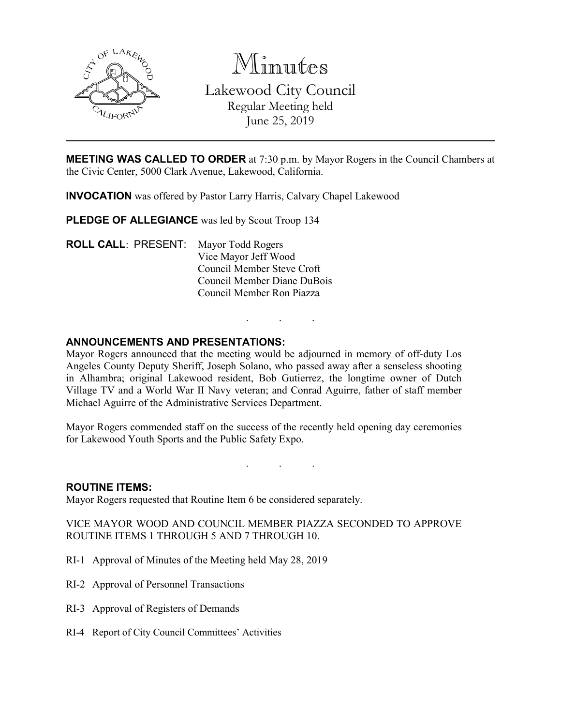

Minutes Lakewood City Council Regular Meeting held June 25, 2019

**MEETING WAS CALLED TO ORDER** at 7:30 p.m. by Mayor Rogers in the Council Chambers at the Civic Center, 5000 Clark Avenue, Lakewood, California.

**INVOCATION** was offered by Pastor Larry Harris, Calvary Chapel Lakewood

PLEDGE OF ALLEGIANCE was led by Scout Troop 134

**ROLL CALL**: PRESENT: Mayor Todd Rogers Vice Mayor Jeff Wood Council Member Steve Croft Council Member Diane DuBois Council Member Ron Piazza

## **ANNOUNCEMENTS AND PRESENTATIONS:**

Mayor Rogers announced that the meeting would be adjourned in memory of off-duty Los Angeles County Deputy Sheriff, Joseph Solano, who passed away after a senseless shooting in Alhambra; original Lakewood resident, Bob Gutierrez, the longtime owner of Dutch Village TV and a World War II Navy veteran; and Conrad Aguirre, father of staff member Michael Aguirre of the Administrative Services Department.

. . .

Mayor Rogers commended staff on the success of the recently held opening day ceremonies for Lakewood Youth Sports and the Public Safety Expo.

. . .

#### **ROUTINE ITEMS:**

Mayor Rogers requested that Routine Item 6 be considered separately.

VICE MAYOR WOOD AND COUNCIL MEMBER PIAZZA SECONDED TO APPROVE ROUTINE ITEMS 1 THROUGH 5 AND 7 THROUGH 10.

- RI-1 Approval of Minutes of the Meeting held May 28, 2019
- RI-2 Approval of Personnel Transactions
- RI-3 Approval of Registers of Demands
- RI-4 Report of City Council Committees' Activities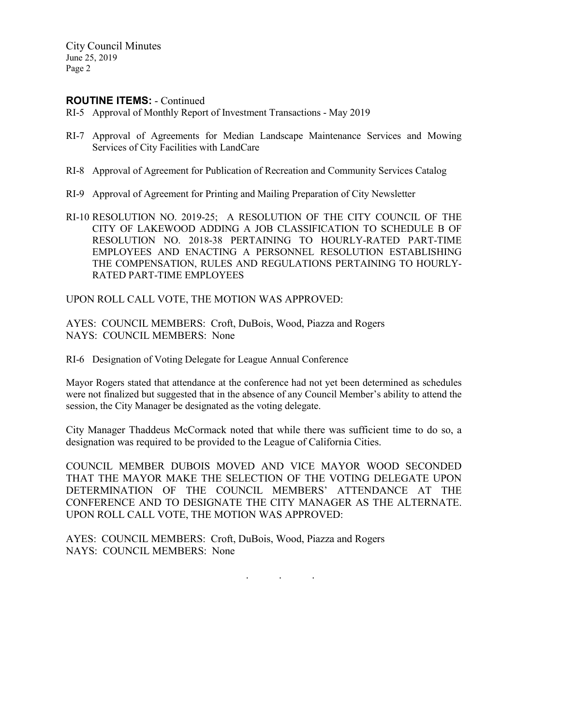City Council Minutes June 25, 2019 Page 2

### **ROUTINE ITEMS:** - Continued

- RI-5 Approval of Monthly Report of Investment Transactions May 2019
- RI-7 Approval of Agreements for Median Landscape Maintenance Services and Mowing Services of City Facilities with LandCare
- RI-8 Approval of Agreement for Publication of Recreation and Community Services Catalog
- RI-9 Approval of Agreement for Printing and Mailing Preparation of City Newsletter
- RI-10 RESOLUTION NO. 2019-25; A RESOLUTION OF THE CITY COUNCIL OF THE CITY OF LAKEWOOD ADDING A JOB CLASSIFICATION TO SCHEDULE B OF RESOLUTION NO. 2018-38 PERTAINING TO HOURLY-RATED PART-TIME EMPLOYEES AND ENACTING A PERSONNEL RESOLUTION ESTABLISHING THE COMPENSATION, RULES AND REGULATIONS PERTAINING TO HOURLY-RATED PART-TIME EMPLOYEES

UPON ROLL CALL VOTE, THE MOTION WAS APPROVED:

AYES: COUNCIL MEMBERS: Croft, DuBois, Wood, Piazza and Rogers NAYS: COUNCIL MEMBERS: None

RI-6 Designation of Voting Delegate for League Annual Conference

Mayor Rogers stated that attendance at the conference had not yet been determined as schedules were not finalized but suggested that in the absence of any Council Member's ability to attend the session, the City Manager be designated as the voting delegate.

City Manager Thaddeus McCormack noted that while there was sufficient time to do so, a designation was required to be provided to the League of California Cities.

COUNCIL MEMBER DUBOIS MOVED AND VICE MAYOR WOOD SECONDED THAT THE MAYOR MAKE THE SELECTION OF THE VOTING DELEGATE UPON DETERMINATION OF THE COUNCIL MEMBERS' ATTENDANCE AT THE CONFERENCE AND TO DESIGNATE THE CITY MANAGER AS THE ALTERNATE. UPON ROLL CALL VOTE, THE MOTION WAS APPROVED:

. . .

AYES: COUNCIL MEMBERS: Croft, DuBois, Wood, Piazza and Rogers NAYS: COUNCIL MEMBERS: None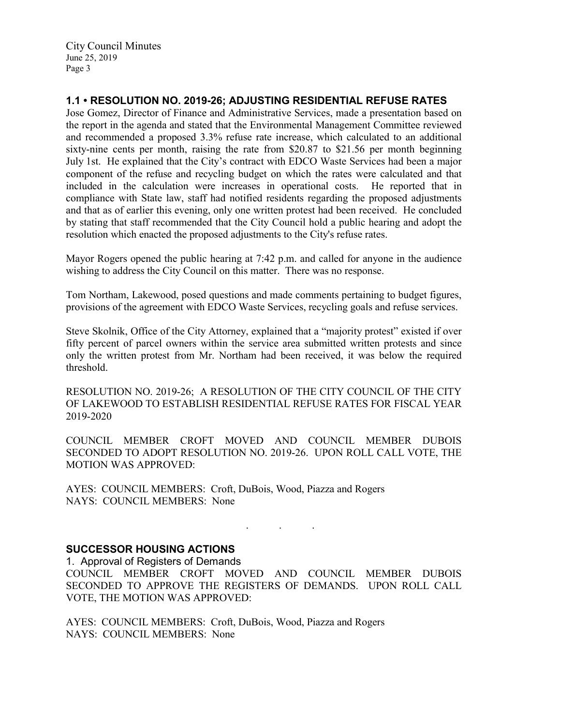City Council Minutes June 25, 2019 Page 3

# **1.1 • RESOLUTION NO. 2019-26; ADJUSTING RESIDENTIAL REFUSE RATES**

Jose Gomez, Director of Finance and Administrative Services, made a presentation based on the report in the agenda and stated that the Environmental Management Committee reviewed and recommended a proposed 3.3% refuse rate increase, which calculated to an additional sixty-nine cents per month, raising the rate from \$20.87 to \$21.56 per month beginning July 1st. He explained that the City's contract with EDCO Waste Services had been a major component of the refuse and recycling budget on which the rates were calculated and that included in the calculation were increases in operational costs. He reported that in compliance with State law, staff had notified residents regarding the proposed adjustments and that as of earlier this evening, only one written protest had been received. He concluded by stating that staff recommended that the City Council hold a public hearing and adopt the resolution which enacted the proposed adjustments to the City's refuse rates.

Mayor Rogers opened the public hearing at 7:42 p.m. and called for anyone in the audience wishing to address the City Council on this matter. There was no response.

Tom Northam, Lakewood, posed questions and made comments pertaining to budget figures, provisions of the agreement with EDCO Waste Services, recycling goals and refuse services.

Steve Skolnik, Office of the City Attorney, explained that a "majority protest" existed if over fifty percent of parcel owners within the service area submitted written protests and since only the written protest from Mr. Northam had been received, it was below the required threshold.

RESOLUTION NO. 2019-26; A RESOLUTION OF THE CITY COUNCIL OF THE CITY OF LAKEWOOD TO ESTABLISH RESIDENTIAL REFUSE RATES FOR FISCAL YEAR 2019-2020

COUNCIL MEMBER CROFT MOVED AND COUNCIL MEMBER DUBOIS SECONDED TO ADOPT RESOLUTION NO. 2019-26. UPON ROLL CALL VOTE, THE MOTION WAS APPROVED:

AYES: COUNCIL MEMBERS: Croft, DuBois, Wood, Piazza and Rogers NAYS: COUNCIL MEMBERS: None

## **SUCCESSOR HOUSING ACTIONS**

1. Approval of Registers of Demands

COUNCIL MEMBER CROFT MOVED AND COUNCIL MEMBER DUBOIS SECONDED TO APPROVE THE REGISTERS OF DEMANDS. UPON ROLL CALL VOTE, THE MOTION WAS APPROVED:

. . .

AYES: COUNCIL MEMBERS: Croft, DuBois, Wood, Piazza and Rogers NAYS: COUNCIL MEMBERS: None